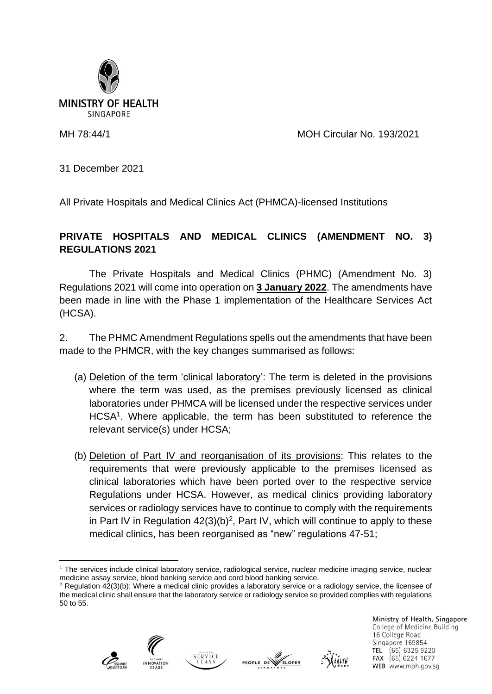

MH 78:44/1 MOH Circular No. 193/2021

31 December 2021

All Private Hospitals and Medical Clinics Act (PHMCA)-licensed Institutions

## **PRIVATE HOSPITALS AND MEDICAL CLINICS (AMENDMENT NO. 3) REGULATIONS 2021**

The Private Hospitals and Medical Clinics (PHMC) (Amendment No. 3) Regulations 2021 will come into operation on **3 January 2022**. The amendments have been made in line with the Phase 1 implementation of the Healthcare Services Act (HCSA).

2. The PHMC Amendment Regulations spells out the amendments that have been made to the PHMCR, with the key changes summarised as follows:

- (a) Deletion of the term 'clinical laboratory': The term is deleted in the provisions where the term was used, as the premises previously licensed as clinical laboratories under PHMCA will be licensed under the respective services under HCSA<sup>1</sup>. Where applicable, the term has been substituted to reference the relevant service(s) under HCSA;
- (b) Deletion of Part IV and reorganisation of its provisions: This relates to the requirements that were previously applicable to the premises licensed as clinical laboratories which have been ported over to the respective service Regulations under HCSA. However, as medical clinics providing laboratory services or radiology services have to continue to comply with the requirements in Part IV in Regulation  $42(3)(b)^2$ , Part IV, which will continue to apply to these medical clinics, has been reorganised as "new" regulations 47-51;

<sup>2</sup> Regulation 42(3)(b): Where a medical clinic provides a laboratory service or a radiology service, the licensee of the medical clinic shall ensure that the laboratory service or radiology service so provided complies with regulations 50 to 55.









Ministry of Health, Singapore College of Medicine Building 16 College Road Singapore 169854 TEL (65) 6325 9220 FAX (65) 6224 1677 WEB www.moh.gov.sq

<sup>1</sup> The services include clinical laboratory service, radiological service, nuclear medicine imaging service, nuclear medicine assay service, blood banking service and cord blood banking service.